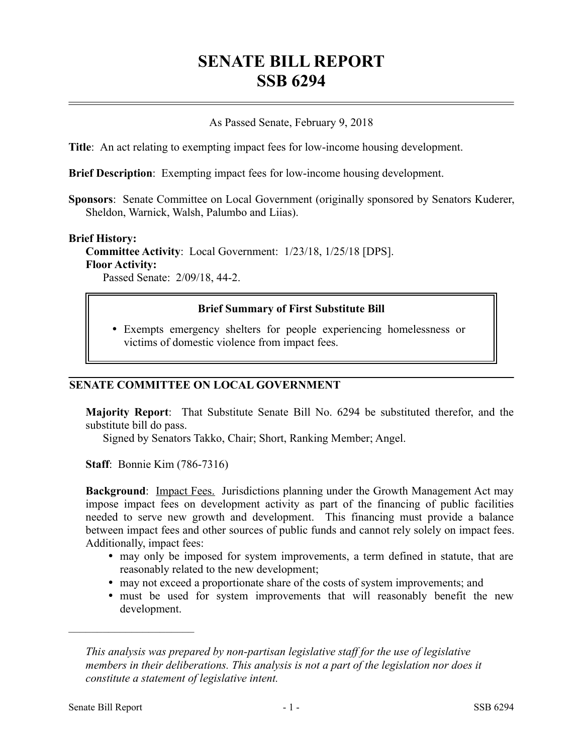# **SENATE BILL REPORT SSB 6294**

### As Passed Senate, February 9, 2018

**Title**: An act relating to exempting impact fees for low-income housing development.

**Brief Description**: Exempting impact fees for low-income housing development.

**Sponsors**: Senate Committee on Local Government (originally sponsored by Senators Kuderer, Sheldon, Warnick, Walsh, Palumbo and Liias).

#### **Brief History:**

**Committee Activity**: Local Government: 1/23/18, 1/25/18 [DPS]. **Floor Activity:**

Passed Senate: 2/09/18, 44-2.

### **Brief Summary of First Substitute Bill**

 Exempts emergency shelters for people experiencing homelessness or victims of domestic violence from impact fees.

#### **SENATE COMMITTEE ON LOCAL GOVERNMENT**

**Majority Report**: That Substitute Senate Bill No. 6294 be substituted therefor, and the substitute bill do pass.

Signed by Senators Takko, Chair; Short, Ranking Member; Angel.

**Staff**: Bonnie Kim (786-7316)

**Background:** Impact Fees. Jurisdictions planning under the Growth Management Act may impose impact fees on development activity as part of the financing of public facilities needed to serve new growth and development. This financing must provide a balance between impact fees and other sources of public funds and cannot rely solely on impact fees. Additionally, impact fees:

- may only be imposed for system improvements, a term defined in statute, that are reasonably related to the new development;
- may not exceed a proportionate share of the costs of system improvements; and
- must be used for system improvements that will reasonably benefit the new development.

––––––––––––––––––––––

*This analysis was prepared by non-partisan legislative staff for the use of legislative members in their deliberations. This analysis is not a part of the legislation nor does it constitute a statement of legislative intent.*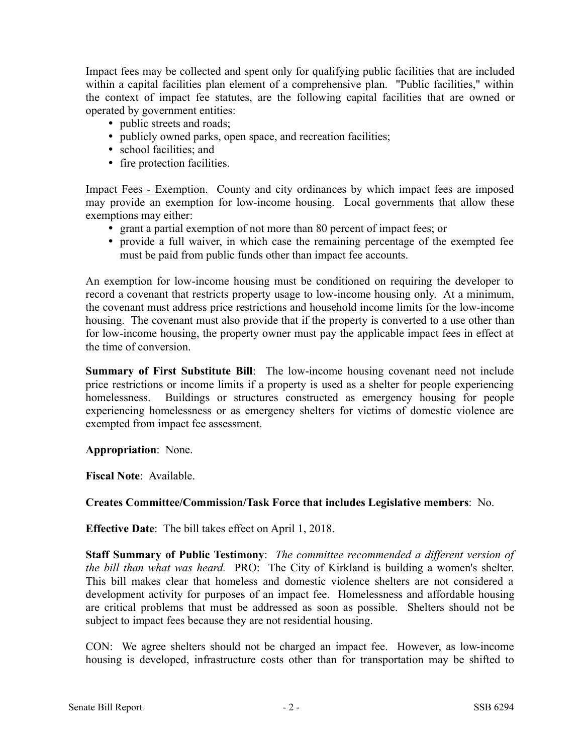Impact fees may be collected and spent only for qualifying public facilities that are included within a capital facilities plan element of a comprehensive plan. "Public facilities," within the context of impact fee statutes, are the following capital facilities that are owned or operated by government entities:

• public streets and roads;

- publicly owned parks, open space, and recreation facilities;
- school facilities; and
- fire protection facilities.

Impact Fees - Exemption. County and city ordinances by which impact fees are imposed may provide an exemption for low-income housing. Local governments that allow these exemptions may either:

- grant a partial exemption of not more than 80 percent of impact fees; or
- provide a full waiver, in which case the remaining percentage of the exempted fee must be paid from public funds other than impact fee accounts.

An exemption for low-income housing must be conditioned on requiring the developer to record a covenant that restricts property usage to low-income housing only. At a minimum, the covenant must address price restrictions and household income limits for the low-income housing. The covenant must also provide that if the property is converted to a use other than for low-income housing, the property owner must pay the applicable impact fees in effect at the time of conversion.

**Summary of First Substitute Bill**: The low-income housing covenant need not include price restrictions or income limits if a property is used as a shelter for people experiencing homelessness. Buildings or structures constructed as emergency housing for people experiencing homelessness or as emergency shelters for victims of domestic violence are exempted from impact fee assessment.

**Appropriation**: None.

**Fiscal Note**: Available.

## **Creates Committee/Commission/Task Force that includes Legislative members**: No.

**Effective Date**: The bill takes effect on April 1, 2018.

**Staff Summary of Public Testimony**: *The committee recommended a different version of the bill than what was heard.* PRO: The City of Kirkland is building a women's shelter. This bill makes clear that homeless and domestic violence shelters are not considered a development activity for purposes of an impact fee. Homelessness and affordable housing are critical problems that must be addressed as soon as possible. Shelters should not be subject to impact fees because they are not residential housing.

CON: We agree shelters should not be charged an impact fee. However, as low-income housing is developed, infrastructure costs other than for transportation may be shifted to